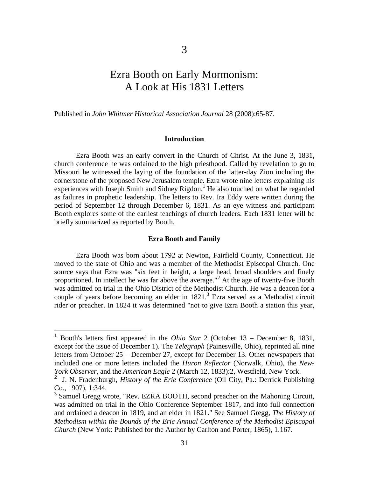# Ezra Booth on Early Mormonism: A Look at His 1831 Letters

Published in *John Whitmer Historical Association Journal* 28 (2008):65-87.

#### **Introduction**

Ezra Booth was an early convert in the Church of Christ. At the June 3, 1831, church conference he was ordained to the high priesthood. Called by revelation to go to Missouri he witnessed the laying of the foundation of the latter-day Zion including the cornerstone of the proposed New Jerusalem temple. Ezra wrote nine letters explaining his experiences with Joseph Smith and Sidney Rigdon.<sup>1</sup> He also touched on what he regarded as failures in prophetic leadership. The letters to Rev. Ira Eddy were written during the period of September 12 through December 6, 1831. As an eye witness and participant Booth explores some of the earliest teachings of church leaders. Each 1831 letter will be briefly summarized as reported by Booth.

#### **Ezra Booth and Family**

Ezra Booth was born about 1792 at Newton, Fairfield County, Connecticut. He moved to the state of Ohio and was a member of the Methodist Episcopal Church. One source says that Ezra was "six feet in height, a large head, broad shoulders and finely proportioned. In intellect he was far above the average."<sup>2</sup> At the age of twenty-five Booth was admitted on trial in the Ohio District of the Methodist Church. He was a deacon for a couple of years before becoming an elder in  $1821$ .<sup>3</sup> Ezra served as a Methodist circuit rider or preacher. In 1824 it was determined "not to give Ezra Booth a station this year,

<sup>1</sup> Booth's letters first appeared in the *Ohio Star* 2 (October 13 – December 8, 1831, except for the issue of December 1). The *Telegraph* (Painesville, Ohio), reprinted all nine letters from October 25 – December 27, except for December 13. Other newspapers that included one or more letters included the *Huron Reflector* (Norwalk, Ohio), the *New-York Observer*, and the *American Eagle* 2 (March 12, 1833):2, Westfield, New York.

<sup>&</sup>lt;sup>2</sup> J. N. Fradenburgh, *History of the Erie Conference* (Oil City, Pa.: Derrick Publishing Co., 1907), 1:344.

<sup>&</sup>lt;sup>3</sup> Samuel Gregg wrote, "Rev. EZRA BOOTH, second preacher on the Mahoning Circuit, was admitted on trial in the Ohio Conference September 1817, and into full connection and ordained a deacon in 1819, and an elder in 1821." See Samuel Gregg, *The History of Methodism within the Bounds of the Erie Annual Conference of the Methodist Episcopal Church* (New York: Published for the Author by Carlton and Porter, 1865), 1:167.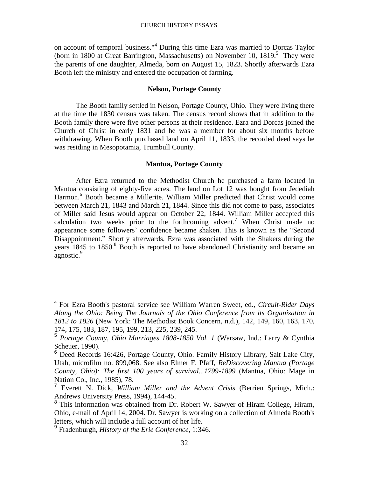on account of temporal business."<sup>4</sup> During this time Ezra was married to Dorcas Taylor (born in 1800 at Great Barrington, Massachusetts) on November 10, 1819. 5 They were the parents of one daughter, Almeda, born on August 15, 1823. Shortly afterwards Ezra Booth left the ministry and entered the occupation of farming.

# **Nelson, Portage County**

The Booth family settled in Nelson, Portage County, Ohio. They were living there at the time the 1830 census was taken. The census record shows that in addition to the Booth family there were five other persons at their residence. Ezra and Dorcas joined the Church of Christ in early 1831 and he was a member for about six months before withdrawing. When Booth purchased land on April 11, 1833, the recorded deed says he was residing in Mesopotamia, Trumbull County.

# **Mantua, Portage County**

After Ezra returned to the Methodist Church he purchased a farm located in Mantua consisting of eighty-five acres. The land on Lot 12 was bought from Jedediah Harmon. <sup>6</sup> Booth became a Millerite. William Miller predicted that Christ would come between March 21, 1843 and March 21, 1844. Since this did not come to pass, associates of Miller said Jesus would appear on October 22, 1844. William Miller accepted this calculation two weeks prior to the forthcoming advent.<sup>7</sup> When Christ made no appearance some followers' confidence became shaken. This is known as the "Second Disappointment." Shortly afterwards, Ezra was associated with the Shakers during the years 1845 to 1850.<sup>8</sup> Booth is reported to have abandoned Christianity and became an .<br>agnostic.<sup>9</sup>

<sup>4</sup> For Ezra Booth's pastoral service see William Warren Sweet, ed., *Circuit-Rider Days Along the Ohio: Being The Journals of the Ohio Conference from its Organization in 1812 to 1826* (New York: The Methodist Book Concern, n.d.), 142, 149, 160, 163, 170, 174, 175, 183, 187, 195, 199, 213, 225, 239, 245.

<sup>5</sup> *Portage County, Ohio Marriages 1808-1850 Vol. 1* (Warsaw, Ind.: Larry & Cynthia Scheuer, 1990).

<sup>6</sup> Deed Records 16:426, Portage County, Ohio. Family History Library, Salt Lake City, Utah, microfilm no. 899,068. See also Elmer F. Pfaff, *ReDiscovering Mantua (Portage County, Ohio): The first 100 years of survival...1799-1899* (Mantua, Ohio: Mage in Nation Co., Inc., 1985), 78.

<sup>7</sup> Everett N. Dick, *William Miller and the Advent Crisis* (Berrien Springs, Mich.: Andrews University Press, 1994), 144-45.

<sup>&</sup>lt;sup>8</sup> This information was obtained from Dr. Robert W. Sawyer of Hiram College, Hiram, Ohio, e-mail of April 14, 2004. Dr. Sawyer is working on a collection of Almeda Booth's letters, which will include a full account of her life.

<sup>9</sup> Fradenburgh, *History of the Erie Conference*, 1:346.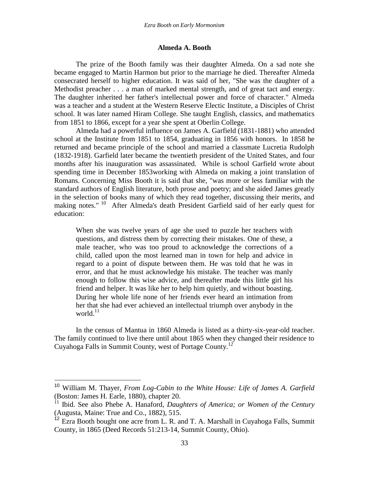#### **Almeda A. Booth**

The prize of the Booth family was their daughter Almeda. On a sad note she became engaged to Martin Harmon but prior to the marriage he died. Thereafter Almeda consecrated herself to higher education. It was said of her, "She was the daughter of a Methodist preacher . . . a man of marked mental strength, and of great tact and energy. The daughter inherited her father's intellectual power and force of character." Almeda was a teacher and a student at the Western Reserve Electic Institute, a Disciples of Christ school. It was later named Hiram College. She taught English, classics, and mathematics from 1851 to 1866, except for a year she spent at Oberlin College.

Almeda had a powerful influence on James A. Garfield (1831-1881) who attended school at the Institute from 1851 to 1854, graduating in 1856 with honors. In 1858 he returned and became principle of the school and married a classmate Lucretia Rudolph (1832-1918). Garfield later became the twentieth president of the United States, and four months after his inauguration was assassinated. While is school Garfield wrote about spending time in December 1853working with Almeda on making a joint translation of Romans. Concerning Miss Booth it is said that she, "was more or less familiar with the standard authors of English literature, both prose and poetry; and she aided James greatly in the selection of books many of which they read together, discussing their merits, and making notes."<sup>10</sup> After Almeda's death President Garfield said of her early quest for education:

When she was twelve years of age she used to puzzle her teachers with questions, and distress them by correcting their mistakes. One of these, a male teacher, who was too proud to acknowledge the corrections of a child, called upon the most learned man in town for help and advice in regard to a point of dispute between them. He was told that he was in error, and that he must acknowledge his mistake. The teacher was manly enough to follow this wise advice, and thereafter made this little girl his friend and helper. It was like her to help him quietly, and without boasting. During her whole life none of her friends ever heard an intimation from her that she had ever achieved an intellectual triumph over anybody in the world. $^{11}$ 

In the census of Mantua in 1860 Almeda is listed as a thirty-six-year-old teacher. The family continued to live there until about 1865 when they changed their residence to Cuyahoga Falls in Summit County, west of Portage County.<sup>12</sup>

<sup>10</sup> William M. Thayer, *From Log-Cabin to the White House: Life of James A. Garfield* (Boston: James H. Earle, 1880), chapter 20.

<sup>&</sup>lt;sup>11</sup> Ibid. See also Phebe A. Hanaford, *Daughters of America; or Women of the Century* (Augusta, Maine: True and Co., 1882), 515.

<sup>&</sup>lt;sup>12</sup> Ezra Booth bought one acre from L. R. and T. A. Marshall in Cuyahoga Falls, Summit County, in 1865 (Deed Records 51:213-14, Summit County, Ohio).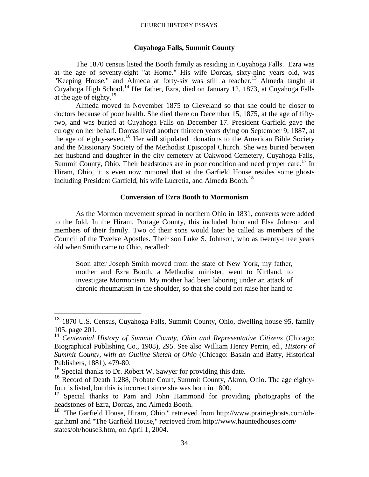#### CHURCH HISTORY ESSAYS

#### **Cuyahoga Falls, Summit County**

The 1870 census listed the Booth family as residing in Cuyahoga Falls. Ezra was at the age of seventy-eight "at Home." His wife Dorcas, sixty-nine years old, was "Keeping House," and Almeda at forty-six was still a teacher.<sup>13</sup> Almeda taught at Cuyahoga High School. <sup>14</sup> Her father, Ezra, died on January 12, 1873, at Cuyahoga Falls at the age of eighty. $15$ 

Almeda moved in November 1875 to Cleveland so that she could be closer to doctors because of poor health. She died there on December 15, 1875, at the age of fiftytwo, and was buried at Cuyahoga Falls on December 17. President Garfield gave the eulogy on her behalf. Dorcas lived another thirteen years dying on September 9, 1887, at the age of eighty-seven.<sup>16</sup> Her will stipulated donations to the American Bible Society and the Missionary Society of the Methodist Episcopal Church. She was buried between her husband and daughter in the city cemetery at Oakwood Cemetery, Cuyahoga Falls, Summit County, Ohio. Their headstones are in poor condition and need proper care.<sup>17</sup> In Hiram, Ohio, it is even now rumored that at the Garfield House resides some ghosts including President Garfield, his wife Lucretia, and Almeda Booth.<sup>18</sup>

# **Conversion of Ezra Booth to Mormonism**

As the Mormon movement spread in northern Ohio in 1831, converts were added to the fold. In the Hiram, Portage County, this included John and Elsa Johnson and members of their family. Two of their sons would later be called as members of the Council of the Twelve Apostles. Their son Luke S. Johnson, who as twenty-three years old when Smith came to Ohio, recalled:

Soon after Joseph Smith moved from the state of New York, my father, mother and Ezra Booth, a Methodist minister, went to Kirtland, to investigate Mormonism. My mother had been laboring under an attack of chronic rheumatism in the shoulder, so that she could not raise her hand to

<sup>&</sup>lt;sup>13</sup> 1870 U.S. Census, Cuyahoga Falls, Summit County, Ohio, dwelling house 95, family 105, page 201.

<sup>14</sup> *Centennial History of Summit County, Ohio and Representative Citizens* (Chicago: Biographical Publishing Co., 1908), 295. See also William Henry Perrin, ed., *History of Summit County, with an Outline Sketch of Ohio* (Chicago: Baskin and Batty, Historical Publishers, 1881), 479-80.

<sup>15</sup> Special thanks to Dr. Robert W. Sawyer for providing this date.

<sup>16</sup> Record of Death 1:288, Probate Court, Summit County, Akron, Ohio. The age eightyfour is listed, but this is incorrect since she was born in 1800.

Special thanks to Pam and John Hammond for providing photographs of the headstones of Ezra, Dorcas, and Almeda Booth.

<sup>18</sup> "The Garfield House, Hiram, Ohio," retrieved from [http://www.prairieghosts.com/oh](http://www.prairieghosts.com/oh-gar.html)[gar.html](http://www.prairieghosts.com/oh-gar.html) and "The Garfield House," retrieved from<http://www.hauntedhouses.com/> states/oh/house3.htm, on April 1, 2004.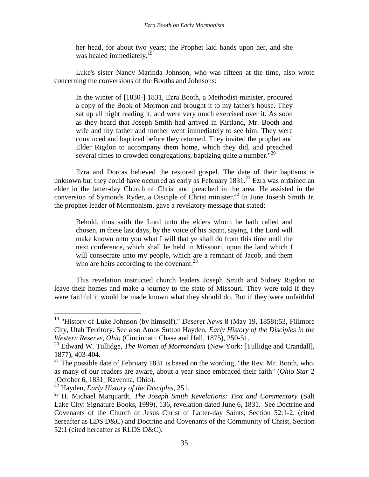her head, for about two years; the Prophet laid hands upon her, and she was healed immediately.<sup>19</sup>

Luke's sister Nancy Marinda Johnson, who was fifteen at the time, also wrote concerning the conversions of the Booths and Johnsons:

In the winter of [1830-] 1831, Ezra Booth, a Methodist minister, procured a copy of the Book of Mormon and brought it to my father's house. They sat up all night reading it, and were very much exercised over it. As soon as they heard that Joseph Smith had arrived in Kirtland, Mr. Booth and wife and my father and mother went immediately to see him. They were convinced and baptized before they returned. They invited the prophet and Elder Rigdon to accompany them home, which they did, and preached several times to crowded congregations, baptizing quite a number."<sup>20</sup>

Ezra and Dorcas believed the restored gospel. The date of their baptisms is unknown but they could have occurred as early as February  $1831.<sup>21</sup>$  Ezra was ordained an elder in the latter-day Church of Christ and preached in the area. He assisted in the conversion of Symonds Ryder, a Disciple of Christ minister.<sup>22</sup> In June Joseph Smith Jr. the prophet-leader of Mormonism, gave a revelatory message that stated:

Behold, thus saith the Lord unto the elders whom he hath called and chosen, in these last days, by the voice of his Spirit, saying, I the Lord will make known unto you what I will that ye shall do from this time until the next conference, which shall be held in Missouri, upon the land which I will consecrate unto my people, which are a remnant of Jacob, and them who are heirs according to the covenant.<sup>23</sup>

This revelation instructed church leaders Joseph Smith and Sidney Rigdon to leave their homes and make a journey to the state of Missouri. They were told if they were faithful it would be made known what they should do. But if they were unfaithful

<sup>&</sup>lt;sup>19</sup> "History of Luke Johnson (by himself)," *Deseret News* 8 (May 19, 1858):53, Fillmore City, Utah Territory. See also Amos Sutton Hayden, *Early History of the Disciples in the Western Reserve, Ohio* (Cincinnati: Chase and Hall, 1875), 250-51.

<sup>&</sup>lt;sup>20</sup> Edward W. Tullidge, *The Women of Mormondom* (New York: [Tullidge and Crandall], 1877), 403-404.

 $21$  The possible date of February 1831 is based on the wording, "the Rev. Mr. Booth, who, as many of our readers are aware, about a year since embraced their faith" (*Ohio Star* 2 [October 6, 1831] Ravenna, Ohio).

<sup>22</sup> Hayden, *Early History of the Disciples*, 251.

<sup>23</sup> H. Michael Marquardt, *The Joseph Smith Revelations: Text and Commentary* (Salt Lake City: Signature Books, 1999), 136, revelation dated June 6, 1831. See Doctrine and Covenants of the Church of Jesus Christ of Latter-day Saints, Section 52:1-2, (cited hereafter as LDS D&C) and Doctrine and Covenants of the Community of Christ, Section 52:1 (cited hereafter as RLDS D&C).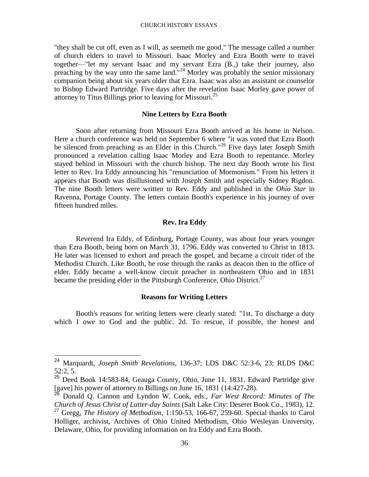"they shall be cut off, even as I will, as seemeth me good." The message called a number of church elders to travel to Missouri. Isaac Morley and Ezra Booth were to travel together—"let my servant Isaac and my servant Ezra (B.,) take their journey, also preaching by the way unto the same land."<sup>24</sup> Morley was probably the senior missionary companion being about six years older that Ezra. Isaac was also an assistant or counselor to Bishop Edward Partridge. Five days after the revelation Isaac Morley gave power of attorney to Titus Billings prior to leaving for Missouri.<sup>25</sup>

#### **Nine Letters by Ezra Booth**

Soon after returning from Missouri Ezra Booth arrived at his home in Nelson. Here a church conference was held on September 6 where "it was voted that Ezra Booth be silenced from preaching as an Elder in this Church."<sup>26</sup> Five days later Joseph Smith pronounced a revelation calling Isaac Morley and Ezra Booth to repentance. Morley stayed behind in Missouri with the church bishop. The next day Booth wrote his first letter to Rev. Ira Eddy announcing his "renunciation of Mormonism." From his letters it appears that Booth was disillusioned with Joseph Smith and especially Sidney Rigdon. The nine Booth letters were written to Rev. Eddy and published in the *Ohio Star* in Ravenna, Portage County. The letters contain Booth's experience in his journey of over fifteen hundred miles.

# **Rev. Ira Eddy**

Reverend Ira Eddy, of Edinburg, Portage County, was about four years younger than Ezra Booth, being born on March 31, 1796. Eddy was converted to Christ in 1813. He later was licensed to exhort and preach the gospel, and became a circuit rider of the Methodist Church. Like Booth, he rose through the ranks as deacon then to the office of elder. Eddy became a well-know circuit preacher in northeastern Ohio and in 1831 became the presiding elder in the Pittsburgh Conference, Ohio District.<sup>27</sup>

#### **Reasons for Writing Letters**

Booth's reasons for writing letters were clearly stated: "1st. To discharge a duty which I owe to God and the public. 2d. To rescue, if possible, the honest and

<sup>24</sup> Marquardt, *Joseph Smith Revelations*, 136-37; LDS D&C 52:3-6, 23; RLDS D&C 52:2, 5.

 $25$  Deed Book 14:583-84, Geauga County, Ohio, June 11, 1831. Edward Partridge give [gave] his power of attorney to Billings on June 16, 1831 (14:427-28).

<sup>26</sup> Donald Q. Cannon and Lyndon W. Cook, eds., *Far West Record: Minutes of The Church of Jesus Christ of Latter-day Saints* (Salt Lake City: Deseret Book Co., 1983), 12.

<sup>27</sup> Gregg, *The History of Methodism*, 1:150-53, 166-67, 259-60. Special thanks to Carol Holliger, archivist, Archives of Ohio United Methodism, Ohio Wesleyan University, Delaware, Ohio, for providing information on Ira Eddy and Ezra Booth.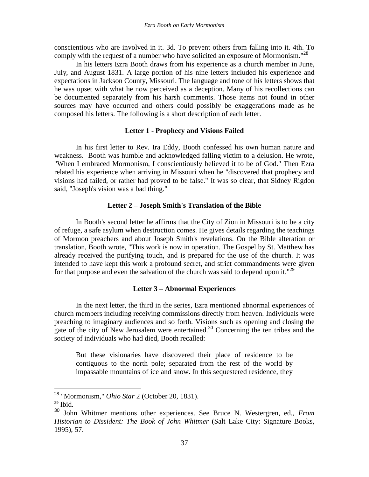conscientious who are involved in it. 3d. To prevent others from falling into it. 4th. To comply with the request of a number who have solicited an exposure of Mormonism."<sup>28</sup>

In his letters Ezra Booth draws from his experience as a church member in June, July, and August 1831. A large portion of his nine letters included his experience and expectations in Jackson County, Missouri. The language and tone of his letters shows that he was upset with what he now perceived as a deception. Many of his recollections can be documented separately from his harsh comments. Those items not found in other sources may have occurred and others could possibly be exaggerations made as he composed his letters. The following is a short description of each letter.

#### **Letter 1 - Prophecy and Visions Failed**

In his first letter to Rev. Ira Eddy, Booth confessed his own human nature and weakness. Booth was humble and acknowledged falling victim to a delusion. He wrote, "When I embraced Mormonism, I conscientiously believed it to be of God." Then Ezra related his experience when arriving in Missouri when he "discovered that prophecy and visions had failed, or rather had proved to be false." It was so clear, that Sidney Rigdon said, "Joseph's vision was a bad thing."

# **Letter 2 – Joseph Smith's Translation of the Bible**

In Booth's second letter he affirms that the City of Zion in Missouri is to be a city of refuge, a safe asylum when destruction comes. He gives details regarding the teachings of Mormon preachers and about Joseph Smith's revelations. On the Bible alteration or translation, Booth wrote, "This work is now in operation. The Gospel by St. Matthew has already received the purifying touch, and is prepared for the use of the church. It was intended to have kept this work a profound secret, and strict commandments were given for that purpose and even the salvation of the church was said to depend upon it."<sup>29</sup>

## **Letter 3 – Abnormal Experiences**

In the next letter, the third in the series, Ezra mentioned abnormal experiences of church members including receiving commissions directly from heaven. Individuals were preaching to imaginary audiences and so forth. Visions such as opening and closing the gate of the city of New Jerusalem were entertained.<sup>30</sup> Concerning the ten tribes and the society of individuals who had died, Booth recalled:

But these visionaries have discovered their place of residence to be contiguous to the north pole; separated from the rest of the world by impassable mountains of ice and snow. In this sequestered residence, they

<sup>28</sup> "Mormonism," *Ohio Star* 2 (October 20, 1831).

 $29$  Ibid.

<sup>30</sup> John Whitmer mentions other experiences. See Bruce N. Westergren, ed., *From Historian to Dissident: The Book of John Whitmer* (Salt Lake City: Signature Books, 1995), 57.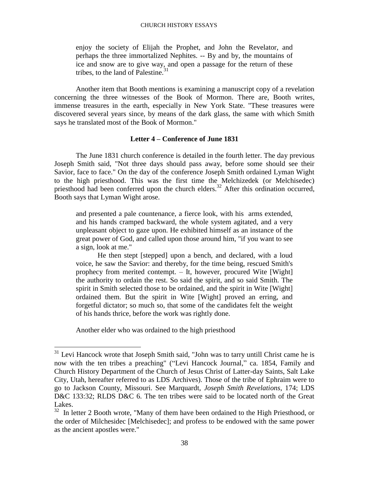enjoy the society of Elijah the Prophet, and John the Revelator, and perhaps the three immortalized Nephites. -- By and by, the mountains of ice and snow are to give way, and open a passage for the return of these tribes, to the land of Palestine. $31$ 

Another item that Booth mentions is examining a manuscript copy of a revelation concerning the three witnesses of the Book of Mormon. There are, Booth writes, immense treasures in the earth, especially in New York State. "These treasures were discovered several years since, by means of the dark glass, the same with which Smith says he translated most of the Book of Mormon."

# **Letter 4 – Conference of June 1831**

The June 1831 church conference is detailed in the fourth letter. The day previous Joseph Smith said, "Not three days should pass away, before some should see their Savior, face to face." On the day of the conference Joseph Smith ordained Lyman Wight to the high priesthood. This was the first time the Melchizedek (or Melchisedec) priesthood had been conferred upon the church elders.<sup>32</sup> After this ordination occurred, Booth says that Lyman Wight arose.

and presented a pale countenance, a fierce look, with his arms extended, and his hands cramped backward, the whole system agitated, and a very unpleasant object to gaze upon. He exhibited himself as an instance of the great power of God, and called upon those around him, "if you want to see a sign, look at me."

He then stept [stepped] upon a bench, and declared, with a loud voice, he saw the Savior: and thereby, for the time being, rescued Smith's prophecy from merited contempt. – It, however, procured Wite [Wight] the authority to ordain the rest. So said the spirit, and so said Smith. The spirit in Smith selected those to be ordained, and the spirit in Wite [Wight] ordained them. But the spirit in Wite [Wight] proved an erring, and forgetful dictator; so much so, that some of the candidates felt the weight of his hands thrice, before the work was rightly done.

Another elder who was ordained to the high priesthood

 $31$  Levi Hancock wrote that Joseph Smith said, "John was to tarry untill Christ came he is now with the ten tribes a preaching" ("Levi Hancock Journal," ca. 1854, Family and Church History Department of the Church of Jesus Christ of Latter-day Saints, Salt Lake City, Utah, hereafter referred to as LDS Archives). Those of the tribe of Ephraim were to go to Jackson County, Missouri. See Marquardt, *Joseph Smith Revelations*, 174; LDS D&C 133:32; RLDS D&C 6. The ten tribes were said to be located north of the Great Lakes.

 $32$  In letter 2 Booth wrote, "Many of them have been ordained to the High Priesthood, or the order of Milchesidec [Melchisedec]; and profess to be endowed with the same power as the ancient apostles were."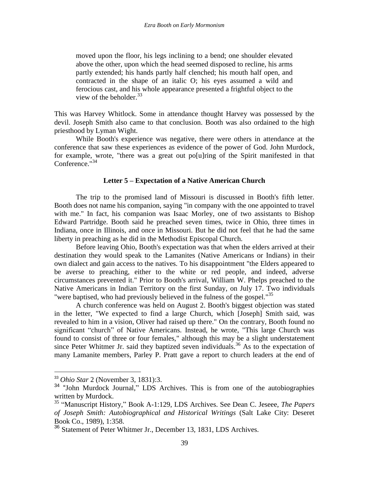moved upon the floor, his legs inclining to a bend; one shoulder elevated above the other, upon which the head seemed disposed to recline, his arms partly extended; his hands partly half clenched; his mouth half open, and contracted in the shape of an italic O; his eyes assumed a wild and ferocious cast, and his whole appearance presented a frightful object to the view of the beholder.  $33$ 

This was Harvey Whitlock. Some in attendance thought Harvey was possessed by the devil. Joseph Smith also came to that conclusion. Booth was also ordained to the high priesthood by Lyman Wight.

While Booth's experience was negative, there were others in attendance at the conference that saw these experiences as evidence of the power of God. John Murdock, for example, wrote, "there was a great out po[u]ring of the Spirit manifested in that Conference."<sup>34</sup>

## **Letter 5 – Expectation of a Native American Church**

The trip to the promised land of Missouri is discussed in Booth's fifth letter. Booth does not name his companion, saying "in company with the one appointed to travel with me." In fact, his companion was Isaac Morley, one of two assistants to Bishop Edward Partridge. Booth said he preached seven times, twice in Ohio, three times in Indiana, once in Illinois, and once in Missouri. But he did not feel that he had the same liberty in preaching as he did in the Methodist Episcopal Church.

Before leaving Ohio, Booth's expectation was that when the elders arrived at their destination they would speak to the Lamanites (Native Americans or Indians) in their own dialect and gain access to the natives. To his disappointment "the Elders appeared to be averse to preaching, either to the white or red people, and indeed, adverse circumstances prevented it." Prior to Booth's arrival, William W. Phelps preached to the Native Americans in Indian Territory on the first Sunday, on July 17. Two individuals "were baptised, who had previously believed in the fulness of the gospel."<sup>35</sup>

A church conference was held on August 2. Booth's biggest objection was stated in the letter, "We expected to find a large Church, which [Joseph] Smith said, was revealed to him in a vision, Oliver had raised up there." On the contrary, Booth found no significant "church" of Native Americans. Instead, he wrote, "This large Church was found to consist of three or four females," although this may be a slight understatement since Peter Whitmer Jr. said they baptized seven individuals.<sup>36</sup> As to the expectation of many Lamanite members, Parley P. Pratt gave a report to church leaders at the end of

<sup>33</sup> *Ohio Star* 2 (November 3, 1831):3.

<sup>&</sup>lt;sup>34</sup> "John Murdock Journal," LDS Archives. This is from one of the autobiographies written by Murdock.

<sup>35</sup> "Manuscript History," Book A-1:129, LDS Archives. See Dean C. Jeseee, *The Papers of Joseph Smith: Autobiographical and Historical Writings* (Salt Lake City: Deseret Book Co., 1989), 1:358.

<sup>36</sup> Statement of Peter Whitmer Jr., December 13, 1831, LDS Archives.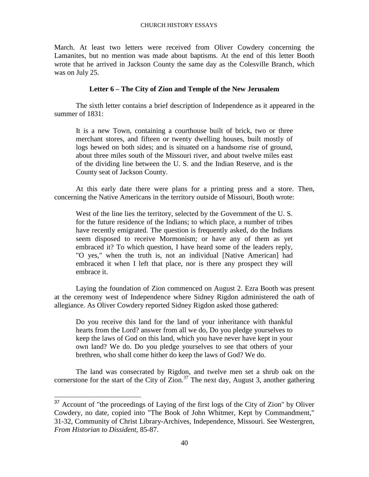March. At least two letters were received from Oliver Cowdery concerning the Lamanites, but no mention was made about baptisms. At the end of this letter Booth wrote that he arrived in Jackson County the same day as the Colesville Branch, which was on July 25.

# **Letter 6 – The City of Zion and Temple of the New Jerusalem**

The sixth letter contains a brief description of Independence as it appeared in the summer of 1831:

It is a new Town, containing a courthouse built of brick, two or three merchant stores, and fifteen or twenty dwelling houses, built mostly of logs hewed on both sides; and is situated on a handsome rise of ground, about three miles south of the Missouri river, and about twelve miles east of the dividing line between the U. S. and the Indian Reserve, and is the County seat of Jackson County.

At this early date there were plans for a printing press and a store. Then, concerning the Native Americans in the territory outside of Missouri, Booth wrote:

West of the line lies the territory, selected by the Government of the U. S. for the future residence of the Indians; to which place, a number of tribes have recently emigrated. The question is frequently asked, do the Indians seem disposed to receive Mormonism; or have any of them as yet embraced it? To which question, I have heard some of the leaders reply, "O yes," when the truth is, not an individual [Native American] had embraced it when I left that place, nor is there any prospect they will embrace it.

Laying the foundation of Zion commenced on August 2. Ezra Booth was present at the ceremony west of Independence where Sidney Rigdon administered the oath of allegiance. As Oliver Cowdery reported Sidney Rigdon asked those gathered:

Do you receive this land for the land of your inheritance with thankful hearts from the Lord? answer from all we do, Do you pledge yourselves to keep the laws of God on this land, which you have never have kept in your own land? We do. Do you pledge yourselves to see that others of your brethren, who shall come hither do keep the laws of God? We do.

The land was consecrated by Rigdon, and twelve men set a shrub oak on the cornerstone for the start of the City of Zion.<sup>37</sup> The next day, August 3, another gathering

<sup>&</sup>lt;sup>37</sup> Account of "the proceedings of Laying of the first logs of the City of Zion" by Oliver Cowdery, no date, copied into "The Book of John Whitmer, Kept by Commandment," 31-32, Community of Christ Library-Archives, Independence, Missouri. See Westergren, *From Historian to Dissident*, 85-87.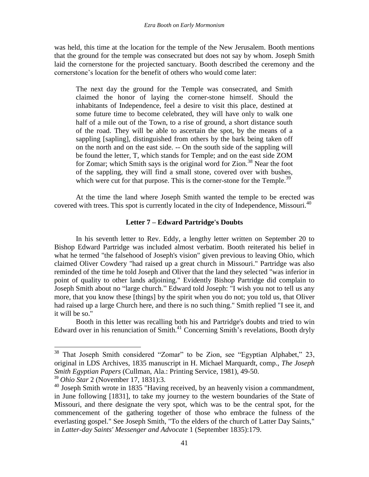was held, this time at the location for the temple of the New Jerusalem. Booth mentions that the ground for the temple was consecrated but does not say by whom. Joseph Smith laid the cornerstone for the projected sanctuary. Booth described the ceremony and the cornerstone's location for the benefit of others who would come later:

The next day the ground for the Temple was consecrated, and Smith claimed the honor of laying the corner-stone himself. Should the inhabitants of Independence, feel a desire to visit this place, destined at some future time to become celebrated, they will have only to walk one half of a mile out of the Town, to a rise of ground, a short distance south of the road. They will be able to ascertain the spot, by the means of a sappling [sapling], distinguished from others by the bark being taken off on the north and on the east side. -- On the south side of the sappling will be found the letter, T, which stands for Temple; and on the east side ZOM for Zomar; which Smith says is the original word for Zion.<sup>38</sup> Near the foot of the sappling, they will find a small stone, covered over with bushes, which were cut for that purpose. This is the corner-stone for the Temple.<sup>39</sup>

At the time the land where Joseph Smith wanted the temple to be erected was covered with trees. This spot is currently located in the city of Independence, Missouri.<sup>40</sup>

#### **Letter 7 – Edward Partridge's Doubts**

In his seventh letter to Rev. Eddy, a lengthy letter written on September 20 to Bishop Edward Partridge was included almost verbatim. Booth reiterated his belief in what he termed "the falsehood of Joseph's vision" given previous to leaving Ohio, which claimed Oliver Cowdery "had raised up a great church in Missouri." Partridge was also reminded of the time he told Joseph and Oliver that the land they selected "was inferior in point of quality to other lands adjoining." Evidently Bishop Partridge did complain to Joseph Smith about no "large church." Edward told Joseph: "I wish you not to tell us any more, that you know these [things] by the spirit when you do not; you told us, that Oliver had raised up a large Church here, and there is no such thing." Smith replied "I see it, and it will be so."

Booth in this letter was recalling both his and Partridge's doubts and tried to win Edward over in his renunciation of Smith.<sup>41</sup> Concerning Smith's revelations, Booth dryly

 $38$  That Joseph Smith considered "Zomar" to be Zion, see "Egyptian Alphabet," 23, original in LDS Archives, 1835 manuscript in H. Michael Marquardt, comp., *The Joseph Smith Egyptian Papers* (Cullman, Ala.: Printing Service, 1981), 49-50.

<sup>39</sup> *Ohio Star* 2 (November 17, 1831):3.

<sup>&</sup>lt;sup>40</sup> Joseph Smith wrote in 1835 "Having received, by an heavenly vision a commandment, in June following [1831], to take my journey to the western boundaries of the State of Missouri, and there designate the very spot, which was to be the central spot, for the commencement of the gathering together of those who embrace the fulness of the everlasting gospel." See Joseph Smith, "To the elders of the church of Latter Day Saints," in *Latter-day Saints' Messenger and Advocate* 1 (September 1835):179.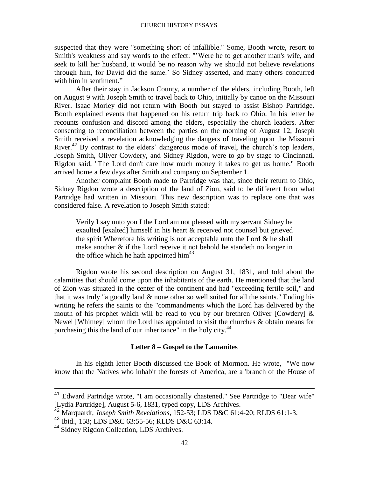suspected that they were "something short of infallible." Some, Booth wrote, resort to Smith's weakness and say words to the effect: "'Were he to get another man's wife, and seek to kill her husband, it would be no reason why we should not believe revelations through him, for David did the same.' So Sidney asserted, and many others concurred with him in sentiment."

After their stay in Jackson County, a number of the elders, including Booth, left on August 9 with Joseph Smith to travel back to Ohio, initially by canoe on the Missouri River. Isaac Morley did not return with Booth but stayed to assist Bishop Partridge. Booth explained events that happened on his return trip back to Ohio. In his letter he recounts confusion and discord among the elders, especially the church leaders. After consenting to reconciliation between the parties on the morning of August 12, Joseph Smith received a revelation acknowledging the dangers of traveling upon the Missouri River.<sup>42</sup> By contrast to the elders' dangerous mode of travel, the church's top leaders, Joseph Smith, Oliver Cowdery, and Sidney Rigdon, were to go by stage to Cincinnati. Rigdon said, "The Lord don't care how much money it takes to get us home." Booth arrived home a few days after Smith and company on September 1.

Another complaint Booth made to Partridge was that, since their return to Ohio, Sidney Rigdon wrote a description of the land of Zion, said to be different from what Partridge had written in Missouri. This new description was to replace one that was considered false. A revelation to Joseph Smith stated:

Verily I say unto you I the Lord am not pleased with my servant Sidney he exaulted [exalted] himself in his heart & received not counsel but grieved the spirit Wherefore his writing is not acceptable unto the Lord  $\&$  he shall make another & if the Lord receive it not behold he standeth no longer in the office which he hath appointed  $\text{him}^{43}$ 

Rigdon wrote his second description on August 31, 1831, and told about the calamities that should come upon the inhabitants of the earth. He mentioned that the land of Zion was situated in the center of the continent and had "exceeding fertile soil," and that it was truly "a goodly land  $\&$  none other so well suited for all the saints." Ending his writing he refers the saints to the "commandments which the Lord has delivered by the mouth of his prophet which will be read to you by our brethren Oliver [Cowdery]  $\&$ Newel [Whitney] whom the Lord has appointed to visit the churches & obtain means for purchasing this the land of our inheritance" in the holy city.<sup>44</sup>

#### **Letter 8 – Gospel to the Lamanites**

In his eighth letter Booth discussed the Book of Mormon. He wrote, "We now know that the Natives who inhabit the forests of America, are a 'branch of the House of

<sup>&</sup>lt;sup>41</sup> Edward Partridge wrote, "I am occasionally chastened." See Partridge to "Dear wife" [Lydia Partridge], August 5-6, 1831, typed copy, LDS Archives.

<sup>&</sup>lt;sup>42</sup> Marquardt, *Joseph Smith Revelations*, 152-53; LDS D&C 61:4-20; RLDS 61:1-3.

<sup>43</sup> Ibid., 158; LDS D&C 63:55-56; RLDS D&C 63:14.

<sup>&</sup>lt;sup>44</sup> Sidney Rigdon Collection, LDS Archives.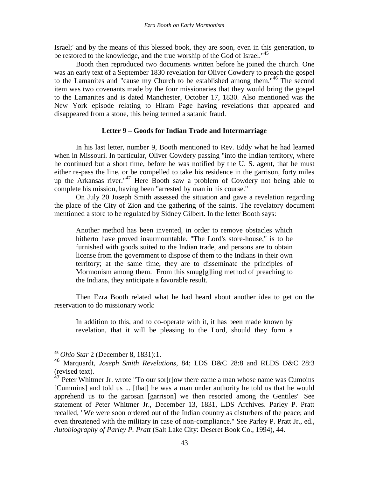Israel;' and by the means of this blessed book, they are soon, even in this generation, to be restored to the knowledge, and the true worship of the God of Israel."<sup>45</sup>

Booth then reproduced two documents written before he joined the church. One was an early text of a September 1830 revelation for Oliver Cowdery to preach the gospel to the Lamanites and "cause my Church to be established among them."<sup>46</sup> The second item was two covenants made by the four missionaries that they would bring the gospel to the Lamanites and is dated Manchester, October 17, 1830. Also mentioned was the New York episode relating to Hiram Page having revelations that appeared and disappeared from a stone, this being termed a satanic fraud.

#### **Letter 9 – Goods for Indian Trade and Intermarriage**

In his last letter, number 9, Booth mentioned to Rev. Eddy what he had learned when in Missouri. In particular, Oliver Cowdery passing "into the Indian territory, where he continued but a short time, before he was notified by the U. S. agent, that he must either re-pass the line, or be compelled to take his residence in the garrison, forty miles up the Arkansas river."<sup>47</sup> Here Booth saw a problem of Cowdery not being able to complete his mission, having been "arrested by man in his course."

On July 20 Joseph Smith assessed the situation and gave a revelation regarding the place of the City of Zion and the gathering of the saints. The revelatory document mentioned a store to be regulated by Sidney Gilbert. In the letter Booth says:

Another method has been invented, in order to remove obstacles which hitherto have proved insurmountable. "The Lord's store-house," is to be furnished with goods suited to the Indian trade, and persons are to obtain license from the government to dispose of them to the Indians in their own territory; at the same time, they are to disseminate the principles of Mormonism among them. From this smug[g]ling method of preaching to the Indians, they anticipate a favorable result.

Then Ezra Booth related what he had heard about another idea to get on the reservation to do missionary work:

In addition to this, and to co-operate with it, it has been made known by revelation, that it will be pleasing to the Lord, should they form a

<sup>45</sup> *Ohio Star* 2 (December 8, 1831):1.

<sup>46</sup> Marquardt, *Joseph Smith Revelations*, 84; LDS D&C 28:8 and RLDS D&C 28:3 (revised text).

<sup>&</sup>lt;sup>47</sup> Peter Whitmer Jr. wrote "To our sor[r]ow there came a man whose name was Cumoins [Cummins] and told us ... [that] he was a man under authority he told us that he would apprehend us to the garosan [garrison] we then resorted among the Gentiles" See statement of Peter Whitmer Jr., December 13, 1831, LDS Archives. Parley P. Pratt recalled, "We were soon ordered out of the Indian country as disturbers of the peace; and even threatened with the military in case of non-compliance." See Parley P. Pratt Jr., ed., *Autobiography of Parley P. Pratt* (Salt Lake City: Deseret Book Co., 1994), 44.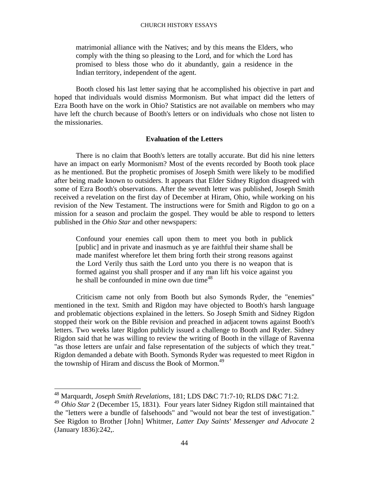matrimonial alliance with the Natives; and by this means the Elders, who comply with the thing so pleasing to the Lord, and for which the Lord has promised to bless those who do it abundantly, gain a residence in the Indian territory, independent of the agent.

Booth closed his last letter saying that he accomplished his objective in part and hoped that individuals would dismiss Mormonism. But what impact did the letters of Ezra Booth have on the work in Ohio? Statistics are not available on members who may have left the church because of Booth's letters or on individuals who chose not listen to the missionaries.

# **Evaluation of the Letters**

There is no claim that Booth's letters are totally accurate. But did his nine letters have an impact on early Mormonism? Most of the events recorded by Booth took place as he mentioned. But the prophetic promises of Joseph Smith were likely to be modified after being made known to outsiders. It appears that Elder Sidney Rigdon disagreed with some of Ezra Booth's observations. After the seventh letter was published, Joseph Smith received a revelation on the first day of December at Hiram, Ohio, while working on his revision of the New Testament. The instructions were for Smith and Rigdon to go on a mission for a season and proclaim the gospel. They would be able to respond to letters published in the *Ohio Star* and other newspapers:

Confound your enemies call upon them to meet you both in publick [public] and in private and inasmuch as ye are faithful their shame shall be made manifest wherefore let them bring forth their strong reasons against the Lord Verily thus saith the Lord unto you there is no weapon that is formed against you shall prosper and if any man lift his voice against you he shall be confounded in mine own due time<sup>48</sup>

Criticism came not only from Booth but also Symonds Ryder, the "enemies" mentioned in the text. Smith and Rigdon may have objected to Booth's harsh language and problematic objections explained in the letters. So Joseph Smith and Sidney Rigdon stopped their work on the Bible revision and preached in adjacent towns against Booth's letters. Two weeks later Rigdon publicly issued a challenge to Booth and Ryder. Sidney Rigdon said that he was willing to review the writing of Booth in the village of Ravenna "as those letters are unfair and false representation of the subjects of which they treat." Rigdon demanded a debate with Booth. Symonds Ryder was requested to meet Rigdon in the township of Hiram and discuss the Book of Mormon.<sup>49</sup>

<sup>48</sup> Marquardt, *Joseph Smith Revelations*, 181; LDS D&C 71:7-10; RLDS D&C 71:2.

<sup>49</sup> *Ohio Star* 2 (December 15, 1831). Four years later Sidney Rigdon still maintained that the "letters were a bundle of falsehoods" and "would not bear the test of investigation." See Rigdon to Brother [John] Whitmer, *Latter Day Saints' Messenger and Advocate* 2 (January 1836):242,.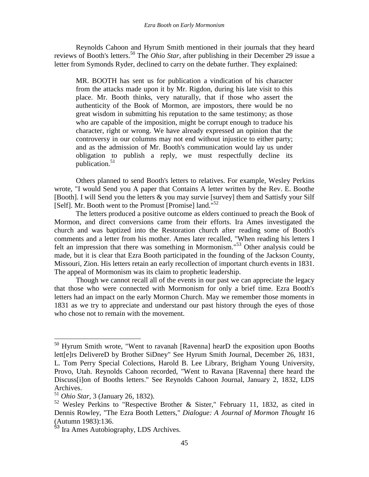Reynolds Cahoon and Hyrum Smith mentioned in their journals that they heard reviews of Booth's letters.<sup>50</sup> The *Ohio Star*, after publishing in their December 29 issue a letter from Symonds Ryder, declined to carry on the debate further. They explained:

MR. BOOTH has sent us for publication a vindication of his character from the attacks made upon it by Mr. Rigdon, during his late visit to this place. Mr. Booth thinks, very naturally, that if those who assert the authenticity of the Book of Mormon, are impostors, there would be no great wisdom in submitting his reputation to the same testimony; as those who are capable of the imposition, might be corrupt enough to traduce his character, right or wrong. We have already expressed an opinion that the controversy in our columns may not end without injustice to either party; and as the admission of Mr. Booth's communication would lay us under obligation to publish a reply, we must respectfully decline its publication.<sup>51</sup>

Others planned to send Booth's letters to relatives. For example, Wesley Perkins wrote, "I would Send you A paper that Contains A letter written by the Rev. E. Boothe [Booth]. I will Send you the letters & you may survie [survey] them and Sattisfy your Silf [Self]. Mr. Booth went to the Promust [Promise] land."<sup>52</sup>

The letters produced a positive outcome as elders continued to preach the Book of Mormon, and direct conversions came from their efforts. Ira Ames investigated the church and was baptized into the Restoration church after reading some of Booth's comments and a letter from his mother. Ames later recalled, "When reading his letters I felt an impression that there was something in Mormonism."<sup>53</sup> Other analysis could be made, but it is clear that Ezra Booth participated in the founding of the Jackson County, Missouri, Zion. His letters retain an early recollection of important church events in 1831. The appeal of Mormonism was its claim to prophetic leadership.

Though we cannot recall all of the events in our past we can appreciate the legacy that those who were connected with Mormonism for only a brief time. Ezra Booth's letters had an impact on the early Mormon Church. May we remember those moments in 1831 as we try to appreciate and understand our past history through the eyes of those who chose not to remain with the movement.

 $50$  Hyrum Smith wrote, "Went to ravanah [Ravenna] hearD the exposition upon Booths lett[e]rs DelivereD by Brother SiDney" See Hyrum Smith Journal, December 26, 1831, L. Tom Perry Special Colections, Harold B. Lee Library, Brigham Young University, Provo, Utah. Reynolds Cahoon recorded, "Went to Ravana [Ravenna] there heard the Discuss[i]on of Booths letters." See Reynolds Cahoon Journal, January 2, 1832, LDS Archives.

<sup>51</sup> *Ohio Star*, 3 (January 26, 1832).

<sup>52</sup> Wesley Perkins to "Respective Brother & Sister," February 11, 1832, as cited in Dennis Rowley, "The Ezra Booth Letters," *Dialogue: A Journal of Mormon Thought* 16 (Autumn 1983):136.

<sup>&</sup>lt;sup>53</sup> Ira Ames Autobiography, LDS Archives.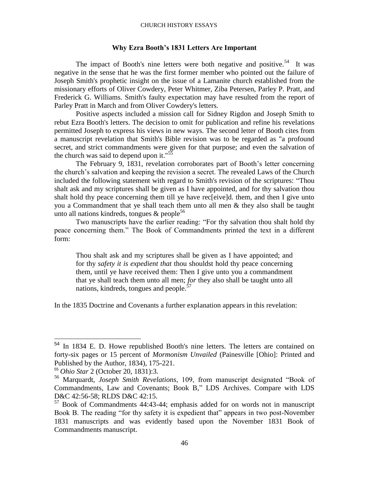#### **Why Ezra Booth's 1831 Letters Are Important**

The impact of Booth's nine letters were both negative and positive.<sup>54</sup> It was negative in the sense that he was the first former member who pointed out the failure of Joseph Smith's prophetic insight on the issue of a Lamanite church established from the missionary efforts of Oliver Cowdery, Peter Whitmer, Ziba Petersen, Parley P. Pratt, and Frederick G. Williams. Smith's faulty expectation may have resulted from the report of Parley Pratt in March and from Oliver Cowdery's letters.

Positive aspects included a mission call for Sidney Rigdon and Joseph Smith to rebut Ezra Booth's letters. The decision to omit for publication and refine his revelations permitted Joseph to express his views in new ways. The second letter of Booth cites from a manuscript revelation that Smith's Bible revision was to be regarded as "a profound secret, and strict commandments were given for that purpose; and even the salvation of the church was said to depend upon it."<sup>55</sup>

The February 9, 1831, revelation corroborates part of Booth's letter concerning the church's salvation and keeping the revision a secret. The revealed Laws of the Church included the following statement with regard to Smith's revision of the scriptures: "Thou shalt ask and my scriptures shall be given as I have appointed, and for thy salvation thou shalt hold thy peace concerning them till ye have rec[eive]d. them, and then I give unto you a Commandment that ye shall teach them unto all men & they also shall be taught unto all nations kindreds, tongues  $\&$  people<sup>56</sup>

Two manuscripts have the earlier reading: "For thy salvation thou shalt hold thy peace concerning them." The Book of Commandments printed the text in a different form:

Thou shalt ask and my scriptures shall be given as I have appointed; and for thy *safety it is expedient that* thou shouldst hold thy peace concerning them, until ye have received them: Then I give unto you a commandment that ye shall teach them unto all men; *for* they also shall be taught unto all nations, kindreds, tongues and people. $57$ 

In the 1835 Doctrine and Covenants a further explanation appears in this revelation:

<sup>&</sup>lt;sup>54</sup> In 1834 E. D. Howe republished Booth's nine letters. The letters are contained on forty-six pages or 15 percent of *Mormonism Unvailed* (Painesville [Ohio]: Printed and Published by the Author, 1834), 175-221.

<sup>55</sup> *Ohio Star* 2 (October 20, 1831):3.

<sup>56</sup> Marquardt, *Joseph Smith Revelations*, 109, from manuscript designated "Book of Commandments, Law and Covenants; Book B," LDS Archives. Compare with LDS D&C 42:56-58; RLDS D&C 42:15.

<sup>57</sup> Book of Commandments 44:43-44; emphasis added for on words not in manuscript Book B. The reading "for thy safety it is expedient that" appears in two post-November 1831 manuscripts and was evidently based upon the November 1831 Book of Commandments manuscript.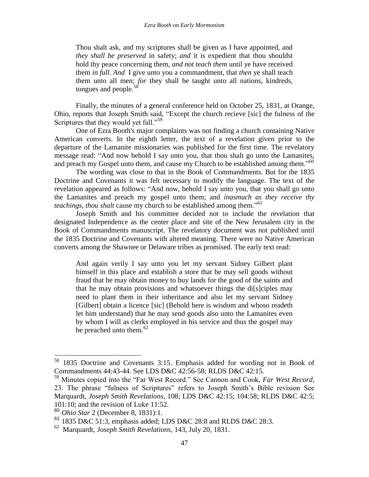Thou shalt ask, and my scriptures shall be given as I have appointed, and *they shall be preserved* in safety; *and* it is expedient that thou shouldst hold thy peace concerning them, *and not teach them* until ye have received them *in full*. *And* I give unto you a commandment, that *then* ye shall teach them unto all men; *for* they shall be taught unto all nations, kindreds, tongues and people.<sup>58</sup>

Finally, the minutes of a general conference held on October 25, 1831, at Orange, Ohio, reports that Joseph Smith said, "Except the church recieve [sic] the fulness of the Scriptures that they would yet fall."<sup>59</sup>

One of Ezra Booth's major complaints was not finding a church containing Native American converts. In the eighth letter, the text of a revelation given prior to the departure of the Lamanite missionaries was published for the first time. The revelatory message read: "And now behold I say unto you, that thou shalt go unto the Lamanites, and preach my Gospel unto them, and cause my Church to be established among them.<sup>50</sup>

The wording was close to that in the Book of Commandments. But for the 1835 Doctrine and Covenants it was felt necessary to modify the language. The text of the revelation appeared as follows: "And now, behold I say unto you, that you shall go unto the Lamanites and preach my gospel unto them; and *inasmuch as they receive thy teachings, thou shalt* cause my church to be established among them."<sup>61</sup>

Joseph Smith and his committee decided not to include the revelation that designated Independence as the center place and site of the New Jerusalem city in the Book of Commandments manuscript. The revelatory document was not published until the 1835 Doctrine and Covenants with altered meaning. There were no Native American converts among the Shawnee or Delaware tribes as promised. The early text read:

And again verily I say unto you let my servant Sidney Gilbert plant himself in this place and establish a store that he may sell goods without fraud that he may obtain money to buy lands for the good of the saints and that he may obtain provisions and whatsoever things the di[s]ciples may need to plant them in their inheritance and also let my servant Sidney [Gilbert] obtain a licence [sic] (Behold here is wisdom and whoso readeth let him understand) that he may send goods also unto the Lamanites even by whom I will as clerks employed in his service and thus the gospel may be preached unto them. $62$ 

<sup>58</sup> 1835 Doctrine and Covenants 3:15. Emphasis added for wording not in Book of Commandments 44:43-44. See LDS D&C 42:56-58; RLDS D&C 42:15.

<sup>59</sup> Minutes copied into the "Far West Record." See Cannon and Cook, *Far West Record*, 23. The phrase "fulness of Scriptures" refers to Joseph Smith's Bible revision See Marquardt, *Joseph Smith Revelations*, 108; LDS D&C 42:15; 104:58; RLDS D&C 42:5; 101:10; and the revision of Luke 11:52.

<sup>60</sup> *Ohio Star* 2 (December 8, 1831):1.

<sup>61</sup> 1835 D&C 51:3, emphasis added; LDS D&C 28:8 and RLDS D&C 28:3.

<sup>62</sup> Marquardt, *Joseph Smith Revelations*, 143, July 20, 1831.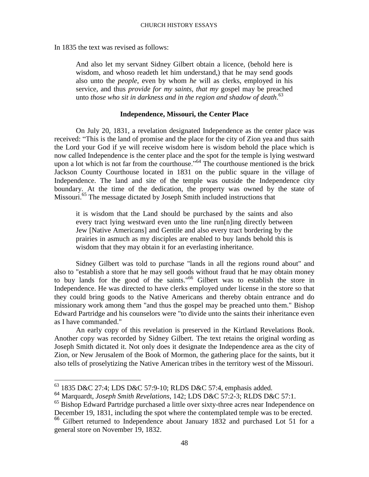In 1835 the text was revised as follows:

And also let my servant Sidney Gilbert obtain a licence, (behold here is wisdom, and whoso readeth let him understand,) that he may send goods also unto the *people*, even by whom *he* will as clerks, employed in his service, and thus *provide for my saints, that my* gospel may be preached unto *those who sit in darkness and in the region and shadow of death*. 63

# **Independence, Missouri, the Center Place**

On July 20, 1831, a revelation designated Independence as the center place was received: "This is the land of promise and the place for the city of Zion yea and thus saith the Lord your God if ye will receive wisdom here is wisdom behold the place which is now called Independence is the center place and the spot for the temple is lying westward upon a lot which is not far from the courthouse.<sup> $564$ </sup> The courthouse mentioned is the brick Jackson County Courthouse located in 1831 on the public square in the village of Independence. The land and site of the temple was outside the Independence city boundary. At the time of the dedication, the property was owned by the state of Missouri.<sup>65</sup> The message dictated by Joseph Smith included instructions that

it is wisdom that the Land should be purchased by the saints and also every tract lying westward even unto the line run[n]ing directly between Jew [Native Americans] and Gentile and also every tract bordering by the prairies in asmuch as my disciples are enabled to buy lands behold this is wisdom that they may obtain it for an everlasting inheritance.

Sidney Gilbert was told to purchase "lands in all the regions round about" and also to "establish a store that he may sell goods without fraud that he may obtain money to buy lands for the good of the saints."<sup>66</sup> Gilbert was to establish the store in Independence. He was directed to have clerks employed under license in the store so that they could bring goods to the Native Americans and thereby obtain entrance and do missionary work among them "and thus the gospel may be preached unto them." Bishop Edward Partridge and his counselors were "to divide unto the saints their inheritance even as I have commanded."

An early copy of this revelation is preserved in the Kirtland Revelations Book. Another copy was recorded by Sidney Gilbert. The text retains the original wording as Joseph Smith dictated it. Not only does it designate the Independence area as the city of Zion, or New Jerusalem of the Book of Mormon, the gathering place for the saints, but it also tells of proselytizing the Native American tribes in the territory west of the Missouri.

 $^{63}$  1835 D&C 27:4; LDS D&C 57:9-10; RLDS D&C 57:4, emphasis added.

<sup>64</sup> Marquardt, *Joseph Smith Revelations*, 142; LDS D&C 57:2-3; RLDS D&C 57:1.

<sup>&</sup>lt;sup>65</sup> Bishop Edward Partridge purchased a little over sixty-three acres near Independence on December 19, 1831, including the spot where the contemplated temple was to be erected.

<sup>66</sup> Gilbert returned to Independence about January 1832 and purchased Lot 51 for a general store on November 19, 1832.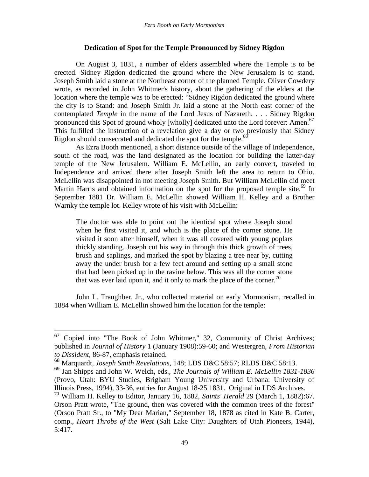# **Dedication of Spot for the Temple Pronounced by Sidney Rigdon**

On August 3, 1831, a number of elders assembled where the Temple is to be erected. Sidney Rigdon dedicated the ground where the New Jerusalem is to stand. Joseph Smith laid a stone at the Northeast corner of the planned Temple. Oliver Cowdery wrote, as recorded in John Whitmer's history, about the gathering of the elders at the location where the temple was to be erected: "Sidney Rigdon dedicated the ground where the city is to Stand: and Joseph Smith Jr. laid a stone at the North east corner of the contemplated *Temple* in the name of the Lord Jesus of Nazareth. . . . Sidney Rigdon pronounced this Spot of ground wholy [wholly] dedicated unto the Lord forever: Amen.<sup>67</sup> This fulfilled the instruction of a revelation give a day or two previously that Sidney Rigdon should consecrated and dedicated the spot for the temple.<sup>68</sup>

As Ezra Booth mentioned, a short distance outside of the village of Independence, south of the road, was the land designated as the location for building the latter-day temple of the New Jerusalem. William E. McLellin, an early convert, traveled to Independence and arrived there after Joseph Smith left the area to return to Ohio. McLellin was disappointed in not meeting Joseph Smith. But William McLellin did meet Martin Harris and obtained information on the spot for the proposed temple site.<sup>69</sup> In September 1881 Dr. William E. McLellin showed William H. Kelley and a Brother Warnky the temple lot. Kelley wrote of his visit with McLellin:

The doctor was able to point out the identical spot where Joseph stood when he first visited it, and which is the place of the corner stone. He visited it soon after himself, when it was all covered with young poplars thickly standing. Joseph cut his way in through this thick growth of trees, brush and saplings, and marked the spot by blazing a tree near by, cutting away the under brush for a few feet around and setting up a small stone that had been picked up in the ravine below. This was all the corner stone that was ever laid upon it, and it only to mark the place of the corner.<sup>70</sup>

John L. Traughber, Jr., who collected material on early Mormonism, recalled in 1884 when William E. McLellin showed him the location for the temple:

Copied into "The Book of John Whitmer," 32, Community of Christ Archives; published in *Journal of History* 1 (January 1908):59-60; and Westergren, *From Historian to Dissident*, 86-87, emphasis retained.

<sup>68</sup> Marquardt, *Joseph Smith Revelations*, 148; LDS D&C 58:57; RLDS D&C 58:13.

<sup>69</sup> Jan Shipps and John W. Welch, eds., *The Journals of William E. McLellin 1831-1836* (Provo, Utah: BYU Studies, Brigham Young University and Urbana: University of Illinois Press, 1994), 33-36, entries for August 18-25 1831. Original in LDS Archives.

<sup>70</sup> William H. Kelley to Editor, January 16, 1882, *Saints' Herald* 29 (March 1, 1882):67. Orson Pratt wrote, "The ground, then was covered with the common trees of the forest" (Orson Pratt Sr., to "My Dear Marian," September 18, 1878 as cited in Kate B. Carter, comp., *Heart Throbs of the West* (Salt Lake City: Daughters of Utah Pioneers, 1944), 5:417.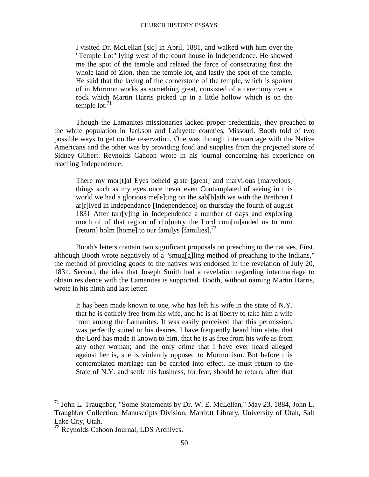I visited Dr. McLellan [sic] in April, 1881, and walked with him over the "Temple Lot" lying west of the court house in Independence. He showed me the spot of the temple and related the farce of consecrating first the whole land of Zion, then the temple lot, and lastly the spot of the temple. He said that the laying of the cornerstone of the temple, which is spoken of in Mormon works as something great, consisted of a ceremony over a rock which Martin Harris picked up in a little hollow which is on the temple lot. $71$ 

Though the Lamanites missionaries lacked proper credentials, they preached to the white population in Jackson and Lafayette counties, Missouri. Booth told of two possible ways to get on the reservation. One was through intermarriage with the Native Americans and the other was by providing food and supplies from the projected store of Sidney Gilbert. Reynolds Cahoon wrote in his journal concerning his experience on reaching Independence:

There my mor<sup>[t]</sup>al Eyes beheld grate [great] and marvilous [marvelous] things such as my eyes once never even Contemplated of seeing in this world we had a glorious me[e]ting on the sab[b]ath we with the Brethren I ar[r]ived in Independance [Independence] on thursday the fourth of august 1831 After tarr[y]ing in Independence a number of days and exploring much of of that region of c[o]untry the Lord com[m]anded us to rurn [return] holm [home] to our familys  $[\text{families}]$ .<sup>72</sup>

Booth's letters contain two significant proposals on preaching to the natives. First, although Booth wrote negatively of a "smug[g]ling method of preaching to the Indians," the method of providing goods to the natives was endorsed in the revelation of July 20, 1831. Second, the idea that Joseph Smith had a revelation regarding intermarriage to obtain residence with the Lamanites is supported. Booth, without naming Martin Harris, wrote in his ninth and last letter:

It has been made known to one, who has left his wife in the state of N.Y. that he is entirely free from his wife, and he is at liberty to take him a wife from among the Lamanites. It was easily perceived that this permission, was perfectly suited to his desires. I have frequently heard him state, that the Lord has made it known to him, that he is as free from his wife as from any other woman; and the only crime that I have ever heard alleged against her is, she is violently opposed to Mormonism. But before this contemplated marriage can be carried into effect, he must return to the State of N.Y. and settle his business, for fear, should he return, after that

 $^{71}$  John L. Traughber, "Some Statements by Dr. W. E. McLellan," May 23, 1884, John L. Traughber Collection, Manuscripts Division, Marriott Library, University of Utah, Salt Lake City, Utah.

<sup>72</sup> Reynolds Cahoon Journal, LDS Archives.